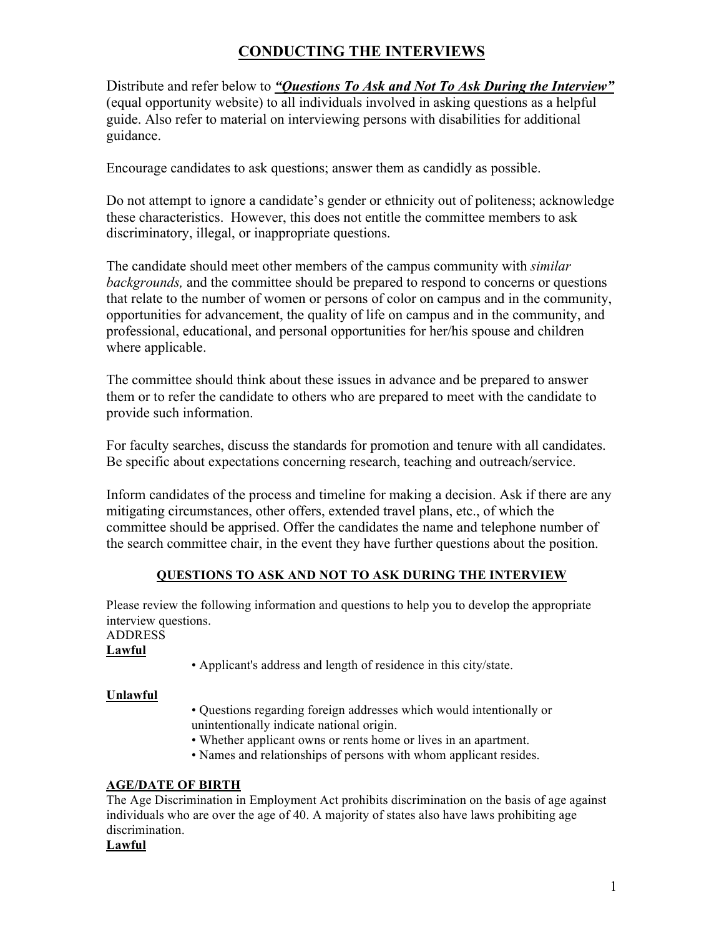# **CONDUCTING THE INTERVIEWS**

Distribute and refer below to *"Questions To Ask and Not To Ask During the Interview"* (equal opportunity website) to all individuals involved in asking questions as a helpful guide. Also refer to material on interviewing persons with disabilities for additional guidance.

Encourage candidates to ask questions; answer them as candidly as possible.

Do not attempt to ignore a candidate's gender or ethnicity out of politeness; acknowledge these characteristics. However, this does not entitle the committee members to ask discriminatory, illegal, or inappropriate questions.

The candidate should meet other members of the campus community with *similar backgrounds,* and the committee should be prepared to respond to concerns or questions that relate to the number of women or persons of color on campus and in the community, opportunities for advancement, the quality of life on campus and in the community, and professional, educational, and personal opportunities for her/his spouse and children where applicable.

The committee should think about these issues in advance and be prepared to answer them or to refer the candidate to others who are prepared to meet with the candidate to provide such information.

For faculty searches, discuss the standards for promotion and tenure with all candidates. Be specific about expectations concerning research, teaching and outreach/service.

Inform candidates of the process and timeline for making a decision. Ask if there are any mitigating circumstances, other offers, extended travel plans, etc., of which the committee should be apprised. Offer the candidates the name and telephone number of the search committee chair, in the event they have further questions about the position.

# **QUESTIONS TO ASK AND NOT TO ASK DURING THE INTERVIEW**

Please review the following information and questions to help you to develop the appropriate interview questions.

ADDRESS

**Lawful** 

• Applicant's address and length of residence in this city/state.

# **Unlawful**

- Questions regarding foreign addresses which would intentionally or unintentionally indicate national origin.
- Whether applicant owns or rents home or lives in an apartment.
- Names and relationships of persons with whom applicant resides.

# **AGE/DATE OF BIRTH**

The Age Discrimination in Employment Act prohibits discrimination on the basis of age against individuals who are over the age of 40. A majority of states also have laws prohibiting age discrimination.

# **Lawful**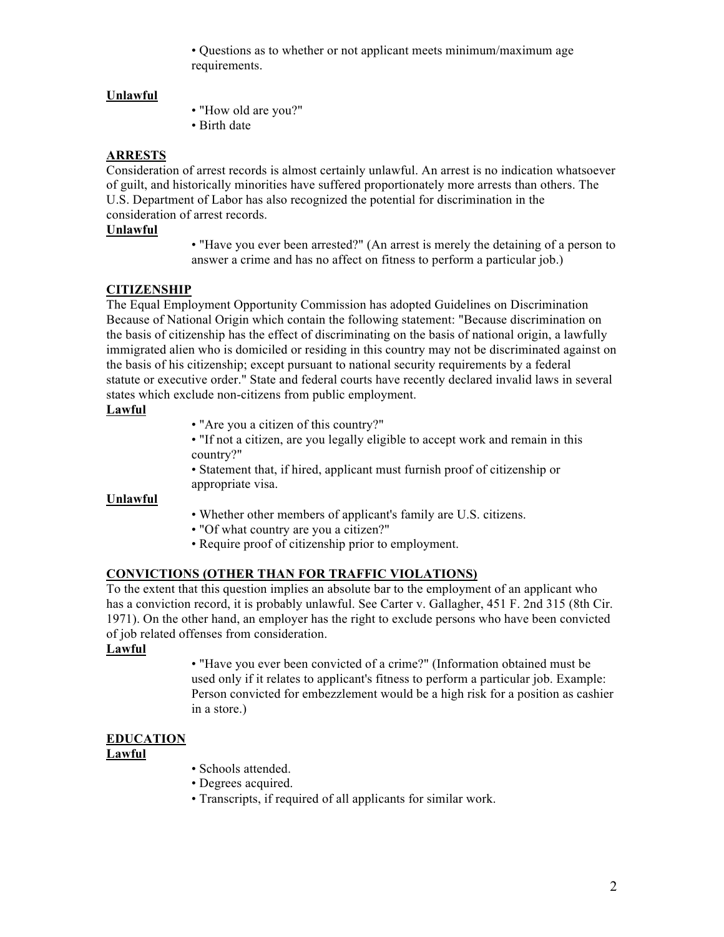• Questions as to whether or not applicant meets minimum/maximum age requirements.

## **Unlawful**

• "How old are you?"

• Birth date

## **ARRESTS**

Consideration of arrest records is almost certainly unlawful. An arrest is no indication whatsoever of guilt, and historically minorities have suffered proportionately more arrests than others. The U.S. Department of Labor has also recognized the potential for discrimination in the consideration of arrest records.

#### **Unlawful**

• "Have you ever been arrested?" (An arrest is merely the detaining of a person to answer a crime and has no affect on fitness to perform a particular job.)

# **CITIZENSHIP**

The Equal Employment Opportunity Commission has adopted Guidelines on Discrimination Because of National Origin which contain the following statement: "Because discrimination on the basis of citizenship has the effect of discriminating on the basis of national origin, a lawfully immigrated alien who is domiciled or residing in this country may not be discriminated against on the basis of his citizenship; except pursuant to national security requirements by a federal statute or executive order." State and federal courts have recently declared invalid laws in several states which exclude non-citizens from public employment.

#### **Lawful**

- "Are you a citizen of this country?"
- "If not a citizen, are you legally eligible to accept work and remain in this country?"

• Statement that, if hired, applicant must furnish proof of citizenship or appropriate visa.

#### **Unlawful**

- Whether other members of applicant's family are U.S. citizens.
- "Of what country are you a citizen?"
- Require proof of citizenship prior to employment.

### **CONVICTIONS (OTHER THAN FOR TRAFFIC VIOLATIONS)**

To the extent that this question implies an absolute bar to the employment of an applicant who has a conviction record, it is probably unlawful. See Carter v. Gallagher, 451 F. 2nd 315 (8th Cir. 1971). On the other hand, an employer has the right to exclude persons who have been convicted of job related offenses from consideration.

#### **Lawful**

• "Have you ever been convicted of a crime?" (Information obtained must be used only if it relates to applicant's fitness to perform a particular job. Example: Person convicted for embezzlement would be a high risk for a position as cashier in a store.)

# **EDUCATION**

#### **Lawful**

- Schools attended.
- Degrees acquired.
- Transcripts, if required of all applicants for similar work.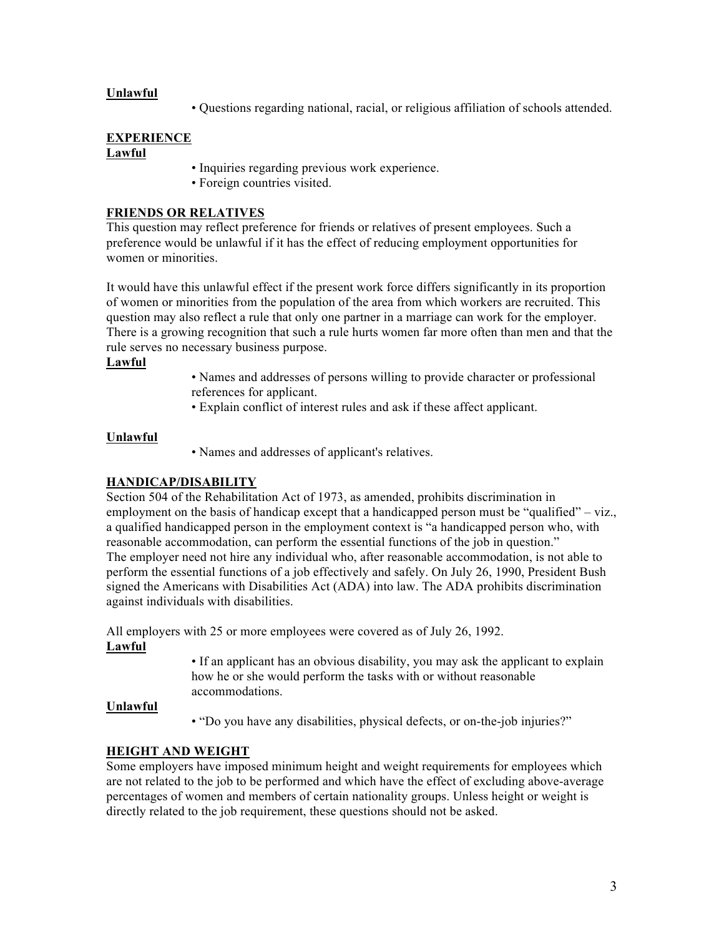### **Unlawful**

• Questions regarding national, racial, or religious affiliation of schools attended.

#### **EXPERIENCE Lawful**

- Inquiries regarding previous work experience.
- Foreign countries visited.

## **FRIENDS OR RELATIVES**

This question may reflect preference for friends or relatives of present employees. Such a preference would be unlawful if it has the effect of reducing employment opportunities for women or minorities.

It would have this unlawful effect if the present work force differs significantly in its proportion of women or minorities from the population of the area from which workers are recruited. This question may also reflect a rule that only one partner in a marriage can work for the employer. There is a growing recognition that such a rule hurts women far more often than men and that the rule serves no necessary business purpose.

## **Lawful**

- Names and addresses of persons willing to provide character or professional references for applicant.
- Explain conflict of interest rules and ask if these affect applicant.

## **Unlawful**

• Names and addresses of applicant's relatives.

# **HANDICAP/DISABILITY**

Section 504 of the Rehabilitation Act of 1973, as amended, prohibits discrimination in employment on the basis of handicap except that a handicapped person must be "qualified" – viz., a qualified handicapped person in the employment context is "a handicapped person who, with reasonable accommodation, can perform the essential functions of the job in question." The employer need not hire any individual who, after reasonable accommodation, is not able to perform the essential functions of a job effectively and safely. On July 26, 1990, President Bush signed the Americans with Disabilities Act (ADA) into law. The ADA prohibits discrimination against individuals with disabilities.

All employers with 25 or more employees were covered as of July 26, 1992. **Lawful** 

> • If an applicant has an obvious disability, you may ask the applicant to explain how he or she would perform the tasks with or without reasonable accommodations.

#### **Unlawful**

• "Do you have any disabilities, physical defects, or on-the-job injuries?"

# **HEIGHT AND WEIGHT**

Some employers have imposed minimum height and weight requirements for employees which are not related to the job to be performed and which have the effect of excluding above-average percentages of women and members of certain nationality groups. Unless height or weight is directly related to the job requirement, these questions should not be asked.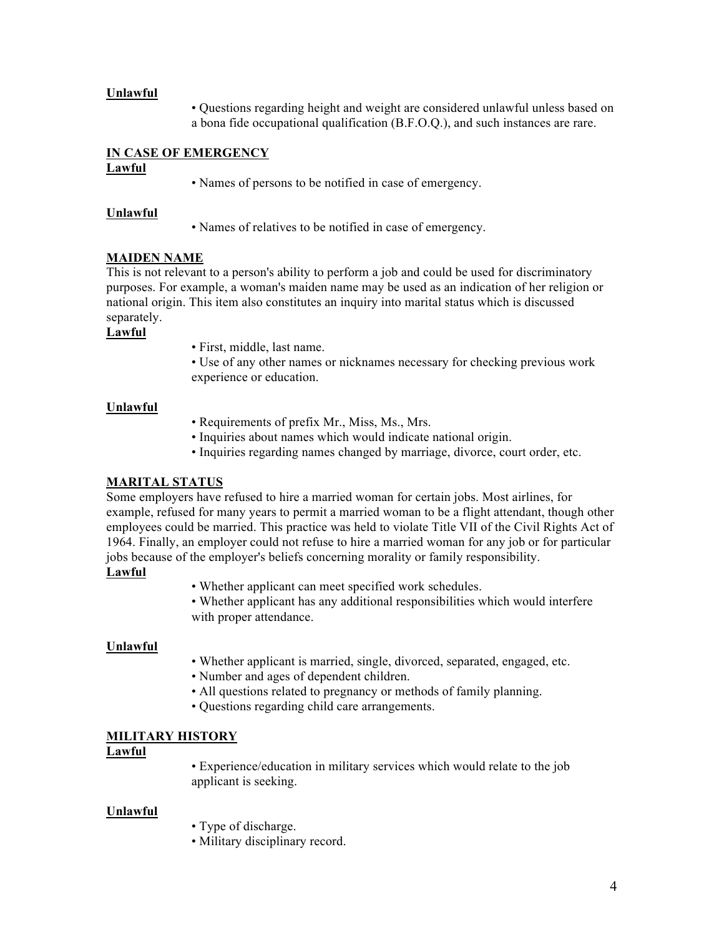#### **Unlawful**

• Questions regarding height and weight are considered unlawful unless based on a bona fide occupational qualification (B.F.O.Q.), and such instances are rare.

# **IN CASE OF EMERGENCY**

#### **Lawful**

• Names of persons to be notified in case of emergency.

#### **Unlawful**

• Names of relatives to be notified in case of emergency.

## **MAIDEN NAME**

This is not relevant to a person's ability to perform a job and could be used for discriminatory purposes. For example, a woman's maiden name may be used as an indication of her religion or national origin. This item also constitutes an inquiry into marital status which is discussed separately.

## **Lawful**

• First, middle, last name.

• Use of any other names or nicknames necessary for checking previous work experience or education.

#### **Unlawful**

- Requirements of prefix Mr., Miss, Ms., Mrs.
- Inquiries about names which would indicate national origin.
- Inquiries regarding names changed by marriage, divorce, court order, etc.

### **MARITAL STATUS**

Some employers have refused to hire a married woman for certain jobs. Most airlines, for example, refused for many years to permit a married woman to be a flight attendant, though other employees could be married. This practice was held to violate Title VII of the Civil Rights Act of 1964. Finally, an employer could not refuse to hire a married woman for any job or for particular jobs because of the employer's beliefs concerning morality or family responsibility.

#### **Lawful**

• Whether applicant can meet specified work schedules.

• Whether applicant has any additional responsibilities which would interfere with proper attendance.

#### **Unlawful**

- Whether applicant is married, single, divorced, separated, engaged, etc.
- Number and ages of dependent children.
- All questions related to pregnancy or methods of family planning.
- Questions regarding child care arrangements.

#### **MILITARY HISTORY**

#### **Lawful**

• Experience/education in military services which would relate to the job applicant is seeking.

#### **Unlawful**

- Type of discharge.
- Military disciplinary record.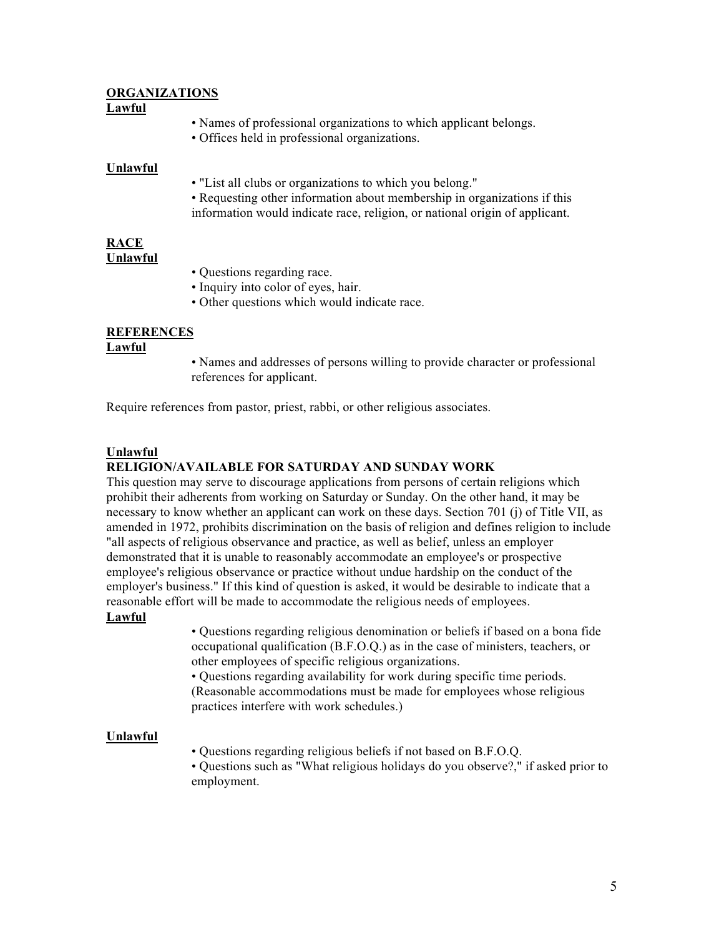#### **ORGANIZATIONS Lawful**

- Names of professional organizations to which applicant belongs.
- Offices held in professional organizations.

#### **Unlawful**

- "List all clubs or organizations to which you belong."
- Requesting other information about membership in organizations if this information would indicate race, religion, or national origin of applicant.

#### **RACE Unlawful**

- Questions regarding race.
- Inquiry into color of eyes, hair.
- Other questions which would indicate race.

# **REFERENCES**

#### **Lawful**

• Names and addresses of persons willing to provide character or professional references for applicant.

Require references from pastor, priest, rabbi, or other religious associates.

#### **Unlawful**

#### **RELIGION/AVAILABLE FOR SATURDAY AND SUNDAY WORK**

This question may serve to discourage applications from persons of certain religions which prohibit their adherents from working on Saturday or Sunday. On the other hand, it may be necessary to know whether an applicant can work on these days. Section 701 (j) of Title VII, as amended in 1972, prohibits discrimination on the basis of religion and defines religion to include "all aspects of religious observance and practice, as well as belief, unless an employer demonstrated that it is unable to reasonably accommodate an employee's or prospective employee's religious observance or practice without undue hardship on the conduct of the employer's business." If this kind of question is asked, it would be desirable to indicate that a reasonable effort will be made to accommodate the religious needs of employees.

#### **Lawful**

• Questions regarding religious denomination or beliefs if based on a bona fide occupational qualification (B.F.O.Q.) as in the case of ministers, teachers, or other employees of specific religious organizations.

• Questions regarding availability for work during specific time periods. (Reasonable accommodations must be made for employees whose religious practices interfere with work schedules.)

#### **Unlawful**

• Questions regarding religious beliefs if not based on B.F.O.Q.

• Questions such as "What religious holidays do you observe?," if asked prior to employment.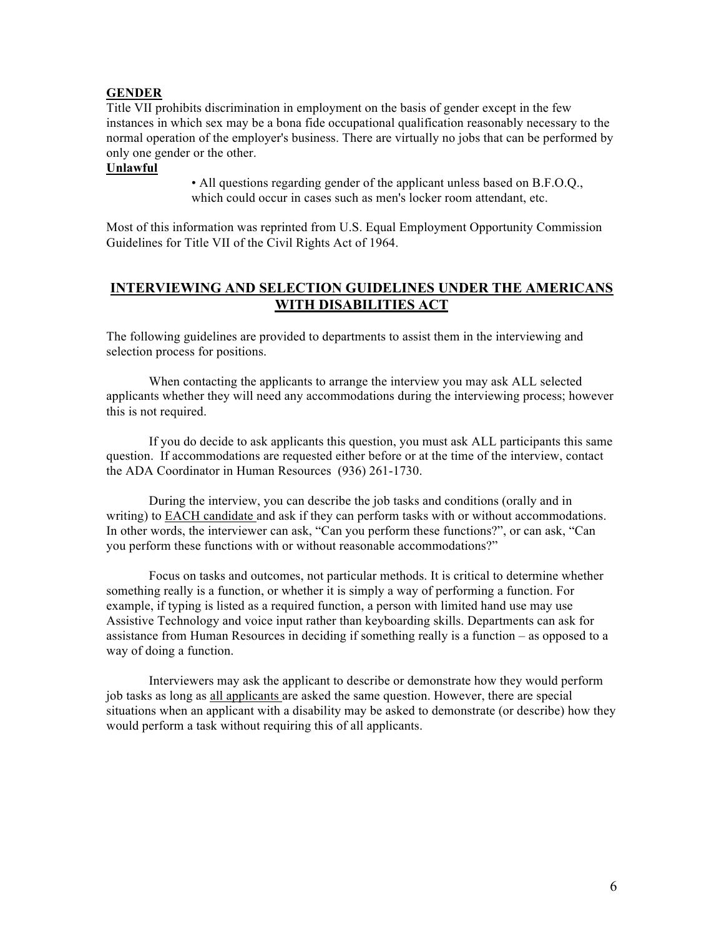#### **GENDER**

Title VII prohibits discrimination in employment on the basis of gender except in the few instances in which sex may be a bona fide occupational qualification reasonably necessary to the normal operation of the employer's business. There are virtually no jobs that can be performed by only one gender or the other.

#### **Unlawful**

• All questions regarding gender of the applicant unless based on B.F.O.Q., which could occur in cases such as men's locker room attendant, etc.

Most of this information was reprinted from U.S. Equal Employment Opportunity Commission Guidelines for Title VII of the Civil Rights Act of 1964.

## **INTERVIEWING AND SELECTION GUIDELINES UNDER THE AMERICANS WITH DISABILITIES ACT**

The following guidelines are provided to departments to assist them in the interviewing and selection process for positions.

When contacting the applicants to arrange the interview you may ask ALL selected applicants whether they will need any accommodations during the interviewing process; however this is not required.

If you do decide to ask applicants this question, you must ask ALL participants this same question. If accommodations are requested either before or at the time of the interview, contact the ADA Coordinator in Human Resources (936) 261-1730.

During the interview, you can describe the job tasks and conditions (orally and in writing) to **EACH** candidate and ask if they can perform tasks with or without accommodations. In other words, the interviewer can ask, "Can you perform these functions?", or can ask, "Can you perform these functions with or without reasonable accommodations?"

Focus on tasks and outcomes, not particular methods. It is critical to determine whether something really is a function, or whether it is simply a way of performing a function. For example, if typing is listed as a required function, a person with limited hand use may use Assistive Technology and voice input rather than keyboarding skills. Departments can ask for assistance from Human Resources in deciding if something really is a function – as opposed to a way of doing a function.

Interviewers may ask the applicant to describe or demonstrate how they would perform job tasks as long as all applicants are asked the same question. However, there are special situations when an applicant with a disability may be asked to demonstrate (or describe) how they would perform a task without requiring this of all applicants.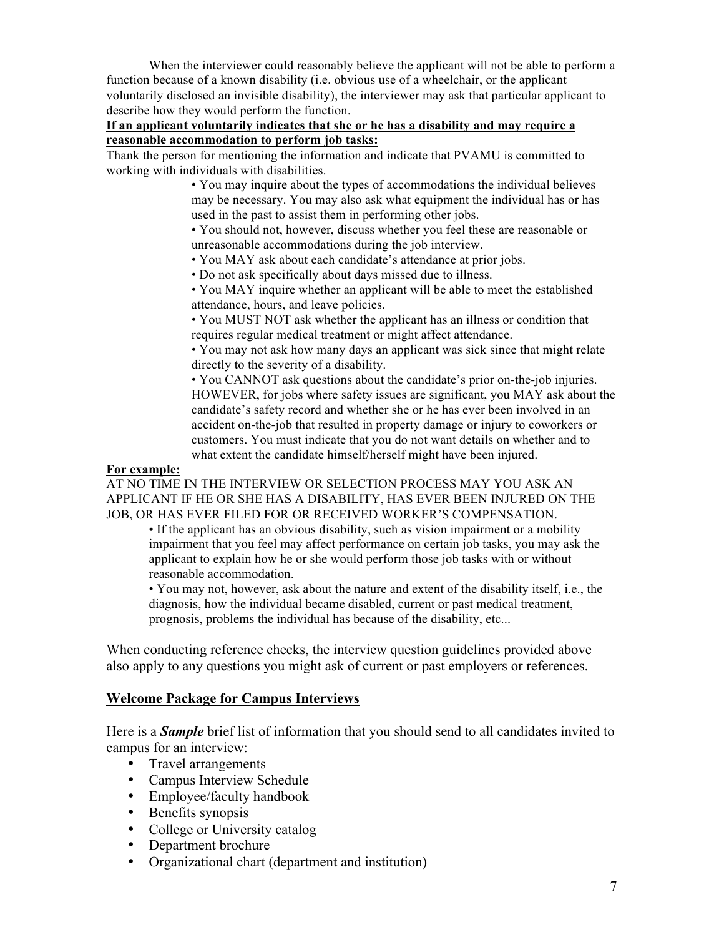When the interviewer could reasonably believe the applicant will not be able to perform a function because of a known disability (i.e. obvious use of a wheelchair, or the applicant voluntarily disclosed an invisible disability), the interviewer may ask that particular applicant to describe how they would perform the function.

### **If an applicant voluntarily indicates that she or he has a disability and may require a reasonable accommodation to perform job tasks:**

Thank the person for mentioning the information and indicate that PVAMU is committed to working with individuals with disabilities.

> • You may inquire about the types of accommodations the individual believes may be necessary. You may also ask what equipment the individual has or has used in the past to assist them in performing other jobs.

• You should not, however, discuss whether you feel these are reasonable or unreasonable accommodations during the job interview.

• You MAY ask about each candidate's attendance at prior jobs.

• Do not ask specifically about days missed due to illness.

• You MAY inquire whether an applicant will be able to meet the established attendance, hours, and leave policies.

• You MUST NOT ask whether the applicant has an illness or condition that requires regular medical treatment or might affect attendance.

• You may not ask how many days an applicant was sick since that might relate directly to the severity of a disability.

• You CANNOT ask questions about the candidate's prior on-the-job injuries. HOWEVER, for jobs where safety issues are significant, you MAY ask about the candidate's safety record and whether she or he has ever been involved in an accident on-the-job that resulted in property damage or injury to coworkers or customers. You must indicate that you do not want details on whether and to what extent the candidate himself/herself might have been injured.

### **For example:**

AT NO TIME IN THE INTERVIEW OR SELECTION PROCESS MAY YOU ASK AN APPLICANT IF HE OR SHE HAS A DISABILITY, HAS EVER BEEN INJURED ON THE JOB, OR HAS EVER FILED FOR OR RECEIVED WORKER'S COMPENSATION.

• If the applicant has an obvious disability, such as vision impairment or a mobility impairment that you feel may affect performance on certain job tasks, you may ask the applicant to explain how he or she would perform those job tasks with or without reasonable accommodation.

• You may not, however, ask about the nature and extent of the disability itself, i.e., the diagnosis, how the individual became disabled, current or past medical treatment, prognosis, problems the individual has because of the disability, etc...

When conducting reference checks, the interview question guidelines provided above also apply to any questions you might ask of current or past employers or references.

# **Welcome Package for Campus Interviews**

Here is a *Sample* brief list of information that you should send to all candidates invited to campus for an interview:

- Travel arrangements
- Campus Interview Schedule
- Employee/faculty handbook
- Benefits synopsis
- College or University catalog
- Department brochure
- Organizational chart (department and institution)